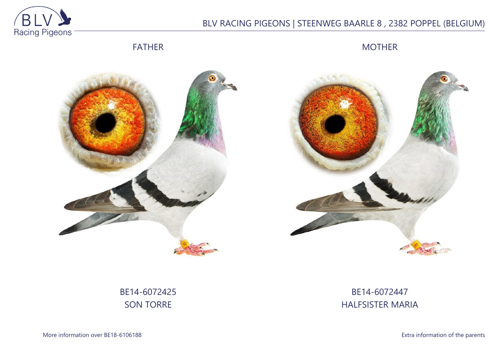

# BLV RACING PIGEONS | STEENWEG BAARLE 8 , 2382 POPPEL (BELGIUM)

FATHER

MOTHER





BE14-6072425 SON TORRE

# BE14-6072447 HALFSISTER MARIA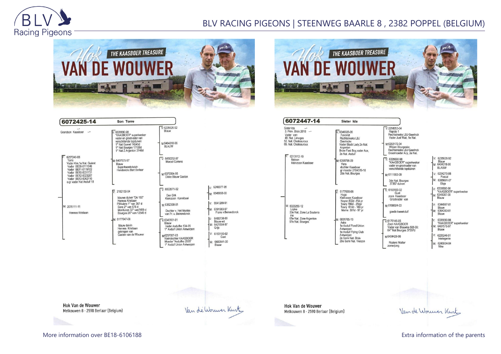

### BLV RACING PIGEONS | STEENWEG BAARLE 8 , 2382 POPPEL (BELGIUM)



| 6072425-14                                                                                  | Son Torre                                                                                                                      |                                                                              |                                      |
|---------------------------------------------------------------------------------------------|--------------------------------------------------------------------------------------------------------------------------------|------------------------------------------------------------------------------|--------------------------------------|
| Grandson Kaasboer<br>$-1$                                                                   | $V: 6335690-98$<br>"KAASBOER" superkweker                                                                                      | $V.6235626-92$<br>Blauw                                                      |                                      |
|                                                                                             | vader en grootvader van<br>verschillende topduiven<br>1° Nat Gueret 14245d<br>1° Nat Bourges 17138d<br>1° Nat Z Argenton 3740d | M:6404318-96<br><b>BLAUW</b>                                                 |                                      |
| 6257240-03<br>Torre<br>Vader Kim.1e Nat. Guéret<br>Vader BE09-6111546<br>Vader BE11-6119102 | M: 6407575-97<br>Blauw<br>Superkweekduivin<br>Henderickx Bart Berlaar                                                          | 6450252-97<br>V٠<br><b>Marcel Cortens</b>                                    |                                      |
| Vader BE10-6031731<br>Vader BE12-6023287<br>Vader BE13-6062110<br>o.gr vader Nat Asduif 18  |                                                                                                                                | M:6370004-95<br>Dikke Blauw Gaston                                           |                                      |
|                                                                                             | 2182150-04<br>V.                                                                                                               | $\overline{V}$ 6503571-02                                                    | V: 6246077-95                        |
|                                                                                             | blauwe duiver "De 150"<br>Hennes Kristiaan                                                                                     | Den Dirk<br>Kleinzoon Kannibaal                                              | M: 6545658-00                        |
| M: 2076111-11                                                                               | Pithiviers 1° van 367 d<br>Sens 2° van 675 d                                                                                   | M:6382308-01                                                                 | 6541269-91<br>$V+$                   |
| Hennes Kristiaan                                                                            | Montlucon 32° van7459 d<br>Bourges 26° van 12549 d                                                                             | Dochter v. Het Muiske<br>van Fr. v. Beirendonck                              | M: 6391983-97<br>Frans v.Beirendonck |
|                                                                                             | M: 6177647-08                                                                                                                  | $\sqrt{6345101-01}$                                                          | V: 6480738-00<br>Blauw-wit           |
|                                                                                             | blauw duivin<br>Hennes Kristiaan                                                                                               | Blauw<br>Vader Asduifke 134-05<br>1° Asduif Union Antwerpen                  | M: 6421504-97<br>Grijs               |
|                                                                                             | gekregen van<br>Gaston van de Wouwer                                                                                           | M6257007-03                                                                  | V: 6183100-02<br>Gust                |
|                                                                                             |                                                                                                                                | Kleindochter KAASBOER<br>Moeder "Asduifke 2005"<br>1° Asduif Union Antwerpen | M: 6480541-00<br>Blauw               |



| 6072447-14                                                                                                                          | Sister Ida                                                                                                                                            |
|-------------------------------------------------------------------------------------------------------------------------------------|-------------------------------------------------------------------------------------------------------------------------------------------------------|
| Sister Ida<br>3. Prov. Blois 2018 -<br>Vader van:<br>48. Nat. Limoges<br>52. Nat. Chateauroux<br>69. Nat. Chateauroux<br>6213112-10 | $-6346026 - 06$<br>Favoriet<br>Rechtstreeks LBJ<br>Geerinckx<br>Vader Black Lady, 2e Nat.<br>Argenton<br>Broer Fast Boy, vader Ace,<br>2e Nat. Asduif |
| Nelson<br>kleinzoon Kaasboer                                                                                                        | M: 6358796-09<br>Vera<br>dochter Kaasboer<br>gr moeder 2104519-18<br>2de Nat. Bourges                                                                 |
| M: 6023250-12<br>Lopke<br>33e Nat. Zone La Souterra<br>ine                                                                          | 6177605-08<br>Hugo<br>Kleinzoon Kaasboer<br>Noyon 802d -154 pr<br>Toury 786d - 250pr<br>Toury 614d - 169 pr<br>Marne 591d - 97 pr                     |
| 61e Nat. Zone Argenton<br>97e Nat. Bourges                                                                                          | M: 6031765-10<br>Aske<br>1e Asduif Fond Union<br>Antwerpen<br>1e Asduif Flying Club<br>Antwerpen<br>2e Semi Nat. Blois<br>29e Semi Nat. Vierzon       |

| $-2298053 - 04$<br>Rapido 1<br>Rechtstreeks LBJ Geerinck<br>Vader Just Wait, 1e Nat.                      |
|-----------------------------------------------------------------------------------------------------------|
| M:6202172-04<br>Witpen Bourgeske<br>Rechtstreeks LBJ Geerinck<br>Grootmoeder Acv. 2e Nat.                 |
| 6335690-98<br>"KAASBOER" superkweker<br>vader en grootvader van<br>verschillende topduiven                |
| M:6111553-09<br>3de Nat. Bourges<br>37357 duiven                                                          |
| $\sqrt{0.6183100 - 02}$<br>Gust<br>zoon Kaasboer<br>Grootvader van<br>M:6108024-03                        |
| goede kweekduif<br>$V.6176146-05$<br>Zoon KAASBOER<br>Vader van Blauwke 508-09:<br>64° Nat Bourges 37357d |
| <b>BOLOCANOMA</b>                                                                                         |

Roziers Walter

zomerjong

V: 6235626-92  $\begin{bmatrix} 0.6233026 - 32 \\ 0.6404318 - 96 \end{bmatrix}$ BLAUW V: 6224270-08 M: 6385691-07 Elsje  $V: 6335690-98$ <br>"KAASBOER" superkweker<br>M: 6345097-00 Blauw V: 6344997-01<br>Blauw<br>M: 6364383-01<br>Blauw 6335690-98<br>\*KAASBOER\* superkweker 6407575-97 Blauw 6225246-01

M: 6246934-04<br>Nike

**Hok Van de Wouwer** Melkouwen 8 - 2590 Berlaar (Belgium)

Van de Wormer Kurt

Van de Worwer Kint

**Hok Van de Wouwer** Melkouwen 8 - 2590 Berlaar (Belgium)

More information over BE18-6106188 **Extra information of the parents** Extra information of the parents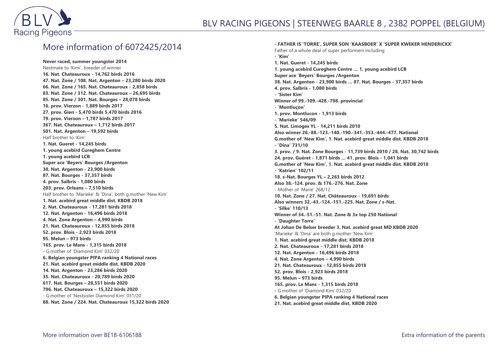

#### More information of 6072425/2014

**Never raced, summer youngster 2014** Nestmate to 'Kimi', breeder of winner **16. Nat. Chateauroux - 14,762 birds 2016 47. Nat. Zone / 108. Nat. Argenton – 23,280 birds 2020 66. Nat. Zone / 165. Nat. Chateauroux - 2,858 birds 83. Nat. Zone / 312. Nat. Chateauroux – 26,695 birds 85. Nat. Zone / 301. Nat. Bourges – 28,078 birds 16. prov. Vierzon - 1,889 birds 2017 27. prov. Gien - 5,470 birds 5,470 birds 2016 79. prov. Vierzon – 1,787 birds 2017 367. Nat. Chateauroux – 1,712 birds 2017 501. Nat. Argenton – 19,592 birds** Half brother to 'Kim' **1. Nat. Gueret - 14,245 birds 1. young acebird Cureghem Centre 1. young acebird LCB Super ace 'Beyers' Bourges /Argenton 38. Nat. Argenton - 23,900 birds 87. Nat. Bourges - 37,357 birds 4. prov. Salbris - 1,080 birds 203. prov. Orleans – 7,510 birds** Half brother to 'Marieke' & 'Dina', both g.mother 'New Kim' **1. Nat. acebird great middle dist. KBDB 2018 2. Nat. Chateauroux - 17,281 birds 2018 12. Nat. Argenton - 16,496 birds 2018 4. Nat. Zone Argenton – 4,990 birds 21. Nat. Chateauroux - 12,855 birds 2018 52. prov. Blois - 2,923 birds 2018 95. Melun – 973 birds 165. prov. Le Mans - 1,315 birds 2018 -** G.mother of 'Diamond Kim' 032/20 **6. Belgian youngster PIPA ranking 4 National races 21. Nat. acebird great middle dist. KBDB 2020 14. Nat. Argenton - 23,286 birds 2020 35. Nat. Chateauroux - 20,789 birds 2020 617. Nat. Bourges – 28,551 birds 2020 796. Nat. Chateauroux – 15,322 birds 2020** - G.mother of 'Nestsister Diamond Kim' 031/20 **88. Nat. Zone / 224. Nat. Chateauroux 15,322 birds 2020**

**- FATHER IS 'TORRE', SUPER SON 'KAASBOER' X 'SUPER KWEKER HENDERICKX'** Father of a whole deal of super performers including **- 'Kim' 1. Nat. Gueret - 14,245 birds 1. young acebird Cureghem Centre … 1. young acebird LCB Super ace 'Beyers' Bourges /Argenton 38. Nat. Argenton - 23,900 birds … 87. Nat. Bourges - 37,357 birds 4. prov. Salbris - 1,080 birds - 'Sister Kim' Winner of 99.-109.-428.-798. provincial - 'Montluçon' 1. prov. Montlucon - 1,913 birds - 'Marieke' 546/09 5. Nat. Limoges YL - 14,211 birds 2010 Also winner 26.-88.-123.-140.-190.-341.-353.-444.-477. National G.mother of 'New Kim', 1. Nat. acebird great middle dist. KBDB 2018 - 'Dina' 731/10 3. prov. / 9. Nat. Zone Bourges - 11,739 birds 2010 / 28. Nat. 30,742 birds 24. prov. Guéret - 1,871 birds … 41. prov. Blois - 1,041 birds G.mother of 'New Kim', 1. Nat. acebird great middle dist. KBDB 2018 - 'Katrien' 102/11 18. s-Nat. Bourges YL – 2,263 birds 2012 Also 38.-124. prov. & 176.-276. Nat. Zone** - Mother of 'Marie' 268/12 **10. Nat. Zone / 27. Nat. Châteauroux - 19,691 birds Also winners 32.-43.-124.-151.-225. Nat. Zone / s-Nat. - 'Silke' 110/13 Winner of 34.-51.-51. Nat. Zone & 3x top 250 National - 'Daughter Torre' At Johan De Belser breeder 3. Nat. acebird great MD KBDB 2020** 'Marieke' & 'Dina' are both g.mother 'New Kim' **1. Nat. acebird great middle dist. KBDB 2018 2. Nat. Chateauroux - 17,281 birds 2018 12. Nat. Argenton - 16,496 birds 2018 4. Nat. Zone Argenton – 4,990 birds 21. Nat. Chateauroux - 12,855 birds 2018 52. prov. Blois - 2,923 birds 2018 95. Melun – 973 birds 165. prov. Le Mans - 1,315 birds 2018 -** G.mother of 'Diamond Kim' 032/20 **6. Belgian youngster PIPA ranking 4 National races 21. Nat. acebird great middle dist. KBDB 2020**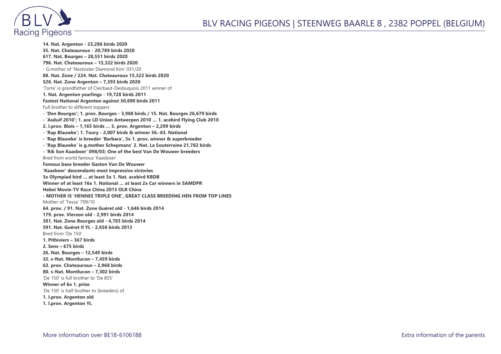



**14. Nat. Argenton - 23,286 birds 2020 35. Nat. Chateauroux - 20,789 birds 2020 617. Nat. Bourges – 28,551 birds 2020 796. Nat. Chateauroux – 15,322 birds 2020** - G.mother of 'Nestsister Diamond Kim' 031/20 **88. Nat. Zone / 224. Nat. Chateauroux 15,322 birds 2020 526. Nat. Zone Argenton – 7,393 birds 2020** 'Torre' is grandfather of Cleirbaut-Desbuquois 2011 winner of **1. Nat. Argenton yearlings - 19,728 birds 2011 Fastest National Argenton against 30,690 birds 2011** Full brother to different toppers **- 'Den Bourges'; 1. prov. Bourges - 3,988 birds / 15. Nat. Bourges 26,679 birds - 'Asduif 2010'; 1. ace LD Union Antwerpen 2010 … 1. acebird Flying Club 2010 2. I.prov. Blois – 1,165 birds … 5. prov. Argenton – 2,299 birds - 'Rap Blauwke'; 1. Toury - 2,007 birds & winner 36.-63. National - 'Rap Blauwke' is breeder 'Barbara', 3x 1. prov. winner & superbreeder - 'Rap Blauwke' is g.mother Schepmans' 2. Nat. La Souterraine 21,782 birds - 'Rik Son Kaasboer' 098/03; One of the best Van De Wouwer breeders** Bred from world famous 'Kaasboer' **Famous base breeder Gaston Van De Wouwer 'Kaasboer' descendants most impressive victories 3x Olympiad bird … at least 3x 1. Nat. acebird KBDB Winner of at least 16x 1. National … at least 2x Car winners in SAMDPR Hebei Movie-TV Race China 2013 OLR China - MOTHER IS 'HENNES TRIPLE ONE', GREAT CLASS BREEDING HEN FROM TOP LINES** Mother of 'Tessa' 799/10 **64. prov. / 91. Nat. Zone Guéret old - 1,646 birds 2014 179. prov. Vierzon old - 2,991 birds 2014 381. Nat. Zone Bourges old - 4,783 birds 2014 591. Nat. Guéret II YL - 2,656 birds 2013** Bred from 'De 150' **1. Pithiviers – 367 birds 2. Sens – 675 birds 26. Nat. Bourges – 12,549 birds 32. s-Nat. Montlucon – 7,459 birds 63. prov. Chateauroux – 2,968 birds 80. s-Nat. Montlucon – 7,302 birds** 'De 150' is full brother to 'De 855' **Winner of 6x 1. prize** 'De 150' is half brother to (breeders) of **1. I.prov. Argenton old 1. I.prov. Argenton YL**